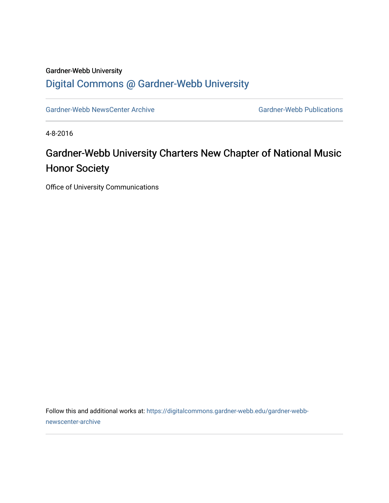## Gardner-Webb University [Digital Commons @ Gardner-Webb University](https://digitalcommons.gardner-webb.edu/)

[Gardner-Webb NewsCenter Archive](https://digitalcommons.gardner-webb.edu/gardner-webb-newscenter-archive) Gardner-Webb Publications

4-8-2016

## Gardner-Webb University Charters New Chapter of National Music Honor Society

Office of University Communications

Follow this and additional works at: [https://digitalcommons.gardner-webb.edu/gardner-webb](https://digitalcommons.gardner-webb.edu/gardner-webb-newscenter-archive?utm_source=digitalcommons.gardner-webb.edu%2Fgardner-webb-newscenter-archive%2F913&utm_medium=PDF&utm_campaign=PDFCoverPages)[newscenter-archive](https://digitalcommons.gardner-webb.edu/gardner-webb-newscenter-archive?utm_source=digitalcommons.gardner-webb.edu%2Fgardner-webb-newscenter-archive%2F913&utm_medium=PDF&utm_campaign=PDFCoverPages)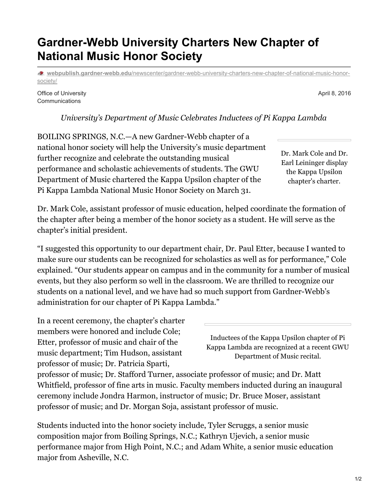## **Gardner-Webb University Charters New Chapter of National Music Honor Society**

**webpublish.gardner-webb.edu**[/newscenter/gardner-webb-university-charters-new-chapter-of-national-music-honor](https://webpublish.gardner-webb.edu/newscenter/gardner-webb-university-charters-new-chapter-of-national-music-honor-society/)society/

Office of University Communications

*University's Department of Music Celebrates Inductees of Pi Kappa Lambda*

BOILING SPRINGS, N.C.—A new Gardner-Webb chapter of a national honor society will help the University's music department further recognize and celebrate the outstanding musical performance and scholastic achievements of students. The GWU Department of Music chartered the Kappa Upsilon chapter of the Pi Kappa Lambda National Music Honor Society on March 31.

Dr. Mark Cole, assistant professor of music education, helped coordinate the formation of the chapter after being a member of the honor society as a student. He will serve as the chapter's initial president.

"I suggested this opportunity to our department chair, Dr. Paul Etter, because I wanted to make sure our students can be recognized for scholastics as well as for performance," Cole explained. "Our students appear on campus and in the community for a number of musical events, but they also perform so well in the classroom. We are thrilled to recognize our students on a national level, and we have had so much support from Gardner-Webb's administration for our chapter of Pi Kappa Lambda."

In a recent ceremony, the chapter's charter members were honored and include Cole; Etter, professor of music and chair of the music department; Tim Hudson, assistant professor of music; Dr. Patricia Sparti,

Inductees of the Kappa Upsilon chapter of Pi Kappa Lambda are recognized at a recent GWU Department of Music recital.

professor of music; Dr. Stafford Turner, associate professor of music; and Dr. Matt Whitfield, professor of fine arts in music. Faculty members inducted during an inaugural ceremony include Jondra Harmon, instructor of music; Dr. Bruce Moser, assistant professor of music; and Dr. Morgan Soja, assistant professor of music.

Students inducted into the honor society include, Tyler Scruggs, a senior music composition major from Boiling Springs, N.C.; Kathryn Ujevich, a senior music performance major from High Point, N.C.; and Adam White, a senior music education major from Asheville, N.C.

April 8, 2016

Dr. Mark Cole and Dr. Earl Leininger display the Kappa Upsilon chapter's charter.